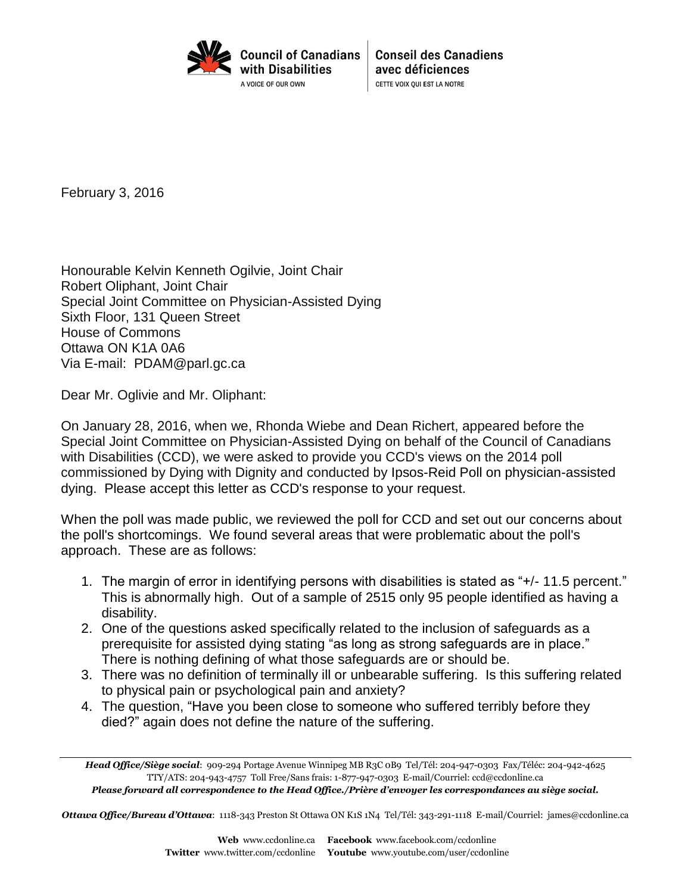

**Conseil des Canadiens** avec déficiences CETTE VOIX QUI EST LA NOTRE

February 3, 2016

Honourable [Kelvin Kenneth](http://www.parl.gc.ca/SenatorsBio/default.aspx?Language=e) Ogilvie, Joint Chair Robert Oliphant, Joint Chair Special Joint Committee on Physician-Assisted Dying Sixth Floor, 131 Queen Street House of Commons Ottawa ON K1A 0A6 Via E-mail: [PDAM@parl.gc.ca](mailto:PDAM@parl.gc.ca?subject=Special%20Joint%20Committee%20on%20Physician-Assisted%20Dying)

Dear Mr. Oglivie and Mr. Oliphant:

On January 28, 2016, when we, Rhonda Wiebe and Dean Richert, appeared before the Special Joint Committee on Physician-Assisted Dying on behalf of the Council of Canadians with Disabilities (CCD), we were asked to provide you CCD's views on the 2014 poll commissioned by Dying with Dignity and conducted by Ipsos-Reid Poll on physician-assisted dying. Please accept this letter as CCD's response to your request.

When the poll was made public, we reviewed the poll for CCD and set out our concerns about the poll's shortcomings. We found several areas that were problematic about the poll's approach. These are as follows:

- 1. The margin of error in identifying persons with disabilities is stated as "+/- 11.5 percent." This is abnormally high. Out of a sample of 2515 only 95 people identified as having a disability.
- 2. One of the questions asked specifically related to the inclusion of safeguards as a prerequisite for assisted dying stating "as long as strong safeguards are in place." There is nothing defining of what those safeguards are or should be.
- 3. There was no definition of terminally ill or unbearable suffering. Is this suffering related to physical pain or psychological pain and anxiety?
- 4. The question, "Have you been close to someone who suffered terribly before they died?" again does not define the nature of the suffering.

*Ottawa Office/Bureau d'Ottawa*: 1118-343 Preston St Ottawa ON K1S 1N4 Tel/Tél: 343-291-1118 E-mail/Courriel: james@ccdonline.ca

*Head Office/Siège social*: 909-294 Portage Avenue Winnipeg MB R3C 0B9 Tel/Tél: 204-947-0303 Fax/Téléc: 204-942-4625 TTY/ATS: 204-943-4757 Toll Free/Sans frais: 1-877-947-0303 E-mail/Courriel: ccd@ccdonline.ca *Please forward all correspondence to the Head Office./Prière d'envoyer les correspondances au siège social.*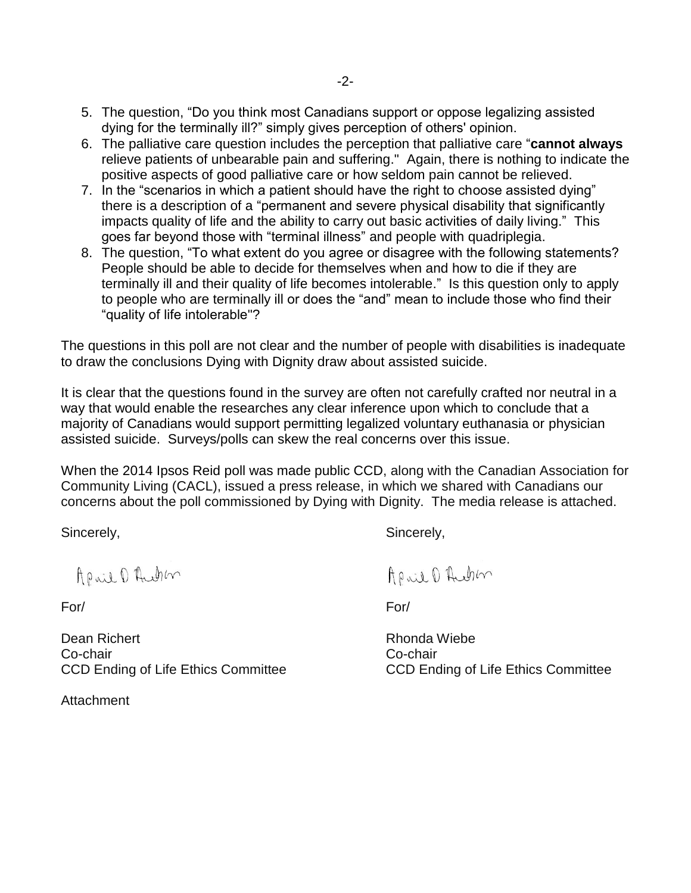- 5. The question, "Do you think most Canadians support or oppose legalizing assisted dying for the terminally ill?" simply gives perception of others' opinion.
- 6. The palliative care question includes the perception that palliative care "**cannot always** relieve patients of unbearable pain and suffering." Again, there is nothing to indicate the positive aspects of good palliative care or how seldom pain cannot be relieved.
- 7. In the "scenarios in which a patient should have the right to choose assisted dying" there is a description of a "permanent and severe physical disability that significantly impacts quality of life and the ability to carry out basic activities of daily living." This goes far beyond those with "terminal illness" and people with quadriplegia.
- 8. The question, "To what extent do you agree or disagree with the following statements? People should be able to decide for themselves when and how to die if they are terminally ill and their quality of life becomes intolerable." Is this question only to apply to people who are terminally ill or does the "and" mean to include those who find their "quality of life intolerable"?

The questions in this poll are not clear and the number of people with disabilities is inadequate to draw the conclusions Dying with Dignity draw about assisted suicide.

It is clear that the questions found in the survey are often not carefully crafted nor neutral in a way that would enable the researches any clear inference upon which to conclude that a majority of Canadians would support permitting legalized voluntary euthanasia or physician assisted suicide. Surveys/polls can skew the real concerns over this issue.

When the 2014 Ipsos Reid poll was made public CCD, along with the Canadian Association for Community Living (CACL), issued a press release, in which we shared with Canadians our concerns about the poll commissioned by Dying with Dignity. The media release is attached.

Sincerely, Sincerely, Sincerely, Sincerely, Sincerely, Sincerely, Sincerely, Sincerely, Sincerely, Sincerely, Sincerely,  $\sim$ 

April D Auchen

Dean Richert **Rhonda Wiebe** Co-chair Co-chair CCD Ending of Life Ethics Committee **CCD** Ending of Life Ethics Committee

Attachment

April D Auchen

For/ For/